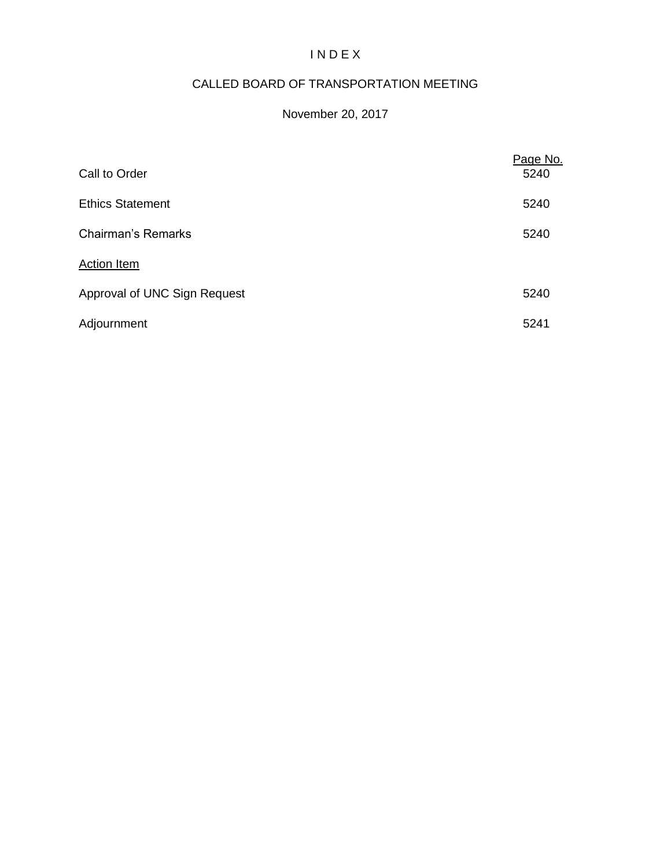## I N D E X

# CALLED BOARD OF TRANSPORTATION MEETING

### November 20, 2017

| Call to Order                | Page No.<br>5240 |
|------------------------------|------------------|
| <b>Ethics Statement</b>      | 5240             |
| <b>Chairman's Remarks</b>    | 5240             |
| Action Item                  |                  |
| Approval of UNC Sign Request | 5240             |
| Adjournment                  | 5241             |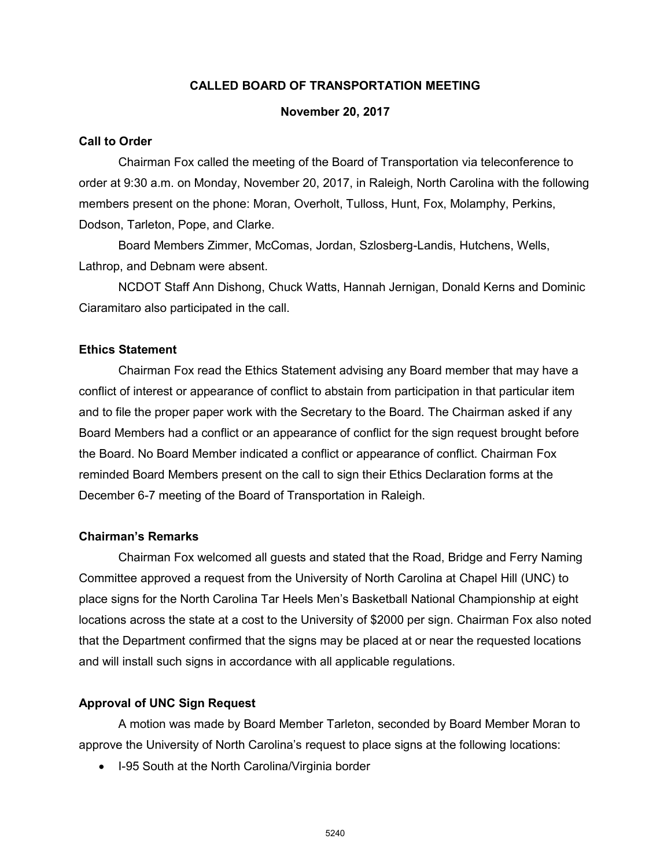#### **CALLED BOARD OF TRANSPORTATION MEETING**

#### **November 20, 2017**

#### **Call to Order**

Chairman Fox called the meeting of the Board of Transportation via teleconference to order at 9:30 a.m. on Monday, November 20, 2017, in Raleigh, North Carolina with the following members present on the phone: Moran, Overholt, Tulloss, Hunt, Fox, Molamphy, Perkins, Dodson, Tarleton, Pope, and Clarke.

Board Members Zimmer, McComas, Jordan, Szlosberg-Landis, Hutchens, Wells, Lathrop, and Debnam were absent.

NCDOT Staff Ann Dishong, Chuck Watts, Hannah Jernigan, Donald Kerns and Dominic Ciaramitaro also participated in the call.

#### **Ethics Statement**

Chairman Fox read the Ethics Statement advising any Board member that may have a conflict of interest or appearance of conflict to abstain from participation in that particular item and to file the proper paper work with the Secretary to the Board. The Chairman asked if any Board Members had a conflict or an appearance of conflict for the sign request brought before the Board. No Board Member indicated a conflict or appearance of conflict. Chairman Fox reminded Board Members present on the call to sign their Ethics Declaration forms at the December 6-7 meeting of the Board of Transportation in Raleigh.

#### **Chairman's Remarks**

Chairman Fox welcomed all guests and stated that the Road, Bridge and Ferry Naming Committee approved a request from the University of North Carolina at Chapel Hill (UNC) to place signs for the North Carolina Tar Heels Men's Basketball National Championship at eight locations across the state at a cost to the University of \$2000 per sign. Chairman Fox also noted that the Department confirmed that the signs may be placed at or near the requested locations and will install such signs in accordance with all applicable regulations.

#### **Approval of UNC Sign Request**

A motion was made by Board Member Tarleton, seconded by Board Member Moran to approve the University of North Carolina's request to place signs at the following locations:

• I-95 South at the North Carolina/Virginia border